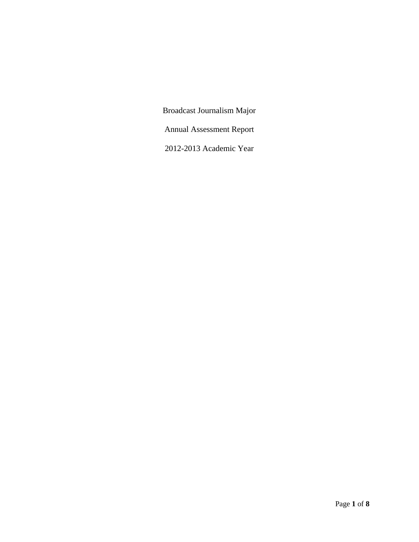Broadcast Journalism Major Annual Assessment Report 2012-2013 Academic Year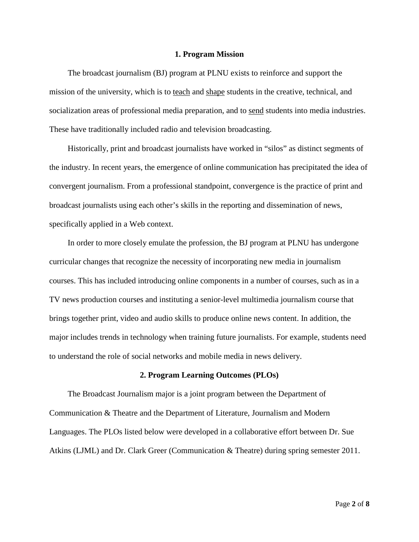### **1. Program Mission**

The broadcast journalism (BJ) program at PLNU exists to reinforce and support the mission of the university, which is to teach and shape students in the creative, technical, and socialization areas of professional media preparation, and to send students into media industries. These have traditionally included radio and television broadcasting.

Historically, print and broadcast journalists have worked in "silos" as distinct segments of the industry. In recent years, the emergence of online communication has precipitated the idea of convergent journalism. From a professional standpoint, convergence is the practice of print and broadcast journalists using each other's skills in the reporting and dissemination of news, specifically applied in a Web context.

In order to more closely emulate the profession, the BJ program at PLNU has undergone curricular changes that recognize the necessity of incorporating new media in journalism courses. This has included introducing online components in a number of courses, such as in a TV news production courses and instituting a senior-level multimedia journalism course that brings together print, video and audio skills to produce online news content. In addition, the major includes trends in technology when training future journalists. For example, students need to understand the role of social networks and mobile media in news delivery.

#### **2. Program Learning Outcomes (PLOs)**

The Broadcast Journalism major is a joint program between the Department of Communication & Theatre and the Department of Literature, Journalism and Modern Languages. The PLOs listed below were developed in a collaborative effort between Dr. Sue Atkins (LJML) and Dr. Clark Greer (Communication & Theatre) during spring semester 2011.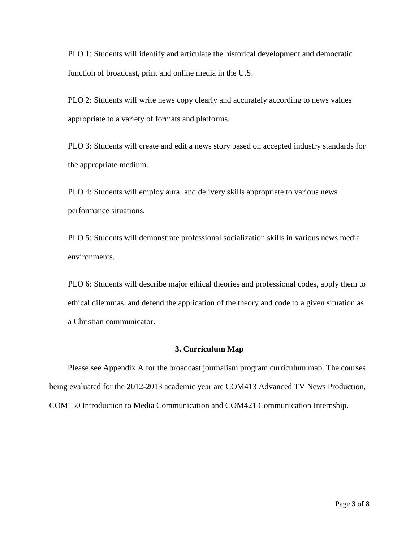PLO 1: Students will identify and articulate the historical development and democratic function of broadcast, print and online media in the U.S.

PLO 2: Students will write news copy clearly and accurately according to news values appropriate to a variety of formats and platforms.

PLO 3: Students will create and edit a news story based on accepted industry standards for the appropriate medium.

PLO 4: Students will employ aural and delivery skills appropriate to various news performance situations.

PLO 5: Students will demonstrate professional socialization skills in various news media environments.

PLO 6: Students will describe major ethical theories and professional codes, apply them to ethical dilemmas, and defend the application of the theory and code to a given situation as a Christian communicator.

## **3. Curriculum Map**

Please see Appendix A for the broadcast journalism program curriculum map. The courses being evaluated for the 2012-2013 academic year are COM413 Advanced TV News Production, COM150 Introduction to Media Communication and COM421 Communication Internship.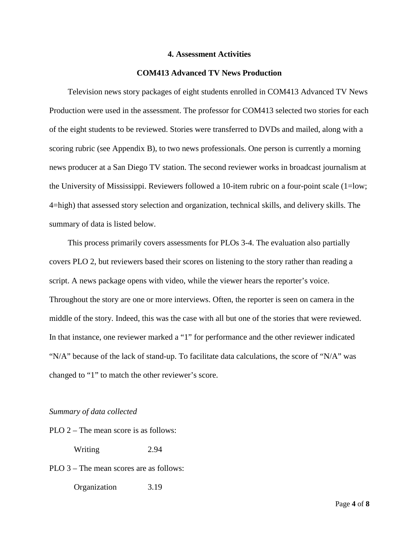### **4. Assessment Activities**

# **COM413 Advanced TV News Production**

Television news story packages of eight students enrolled in COM413 Advanced TV News Production were used in the assessment. The professor for COM413 selected two stories for each of the eight students to be reviewed. Stories were transferred to DVDs and mailed, along with a scoring rubric (see Appendix B), to two news professionals. One person is currently a morning news producer at a San Diego TV station. The second reviewer works in broadcast journalism at the University of Mississippi. Reviewers followed a 10-item rubric on a four-point scale (1=low; 4=high) that assessed story selection and organization, technical skills, and delivery skills. The summary of data is listed below.

This process primarily covers assessments for PLOs 3-4. The evaluation also partially covers PLO 2, but reviewers based their scores on listening to the story rather than reading a script. A news package opens with video, while the viewer hears the reporter's voice. Throughout the story are one or more interviews. Often, the reporter is seen on camera in the middle of the story. Indeed, this was the case with all but one of the stories that were reviewed. In that instance, one reviewer marked a "1" for performance and the other reviewer indicated "N/A" because of the lack of stand-up. To facilitate data calculations, the score of "N/A" was changed to "1" to match the other reviewer's score.

#### *Summary of data collected*

PLO 2 – The mean score is as follows:

Writing 2.94

PLO 3 – The mean scores are as follows:

Organization 3.19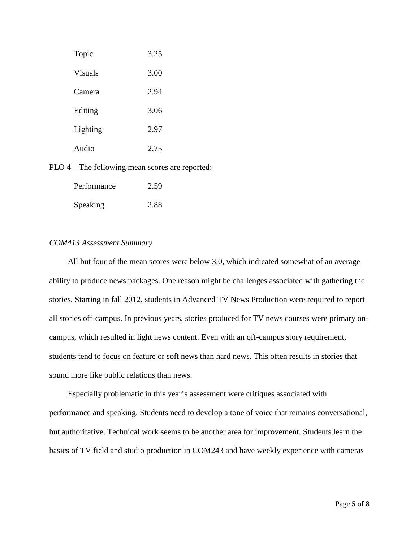| Topic    | 3.25 |
|----------|------|
| Visuals  | 3.00 |
| Camera   | 2.94 |
| Editing  | 3.06 |
| Lighting | 2.97 |
| Audio    | 2.75 |

PLO 4 – The following mean scores are reported:

| Performance | 2.59 |
|-------------|------|
| Speaking    | 2.88 |

# *COM413 Assessment Summary*

All but four of the mean scores were below 3.0, which indicated somewhat of an average ability to produce news packages. One reason might be challenges associated with gathering the stories. Starting in fall 2012, students in Advanced TV News Production were required to report all stories off-campus. In previous years, stories produced for TV news courses were primary oncampus, which resulted in light news content. Even with an off-campus story requirement, students tend to focus on feature or soft news than hard news. This often results in stories that sound more like public relations than news.

Especially problematic in this year's assessment were critiques associated with performance and speaking. Students need to develop a tone of voice that remains conversational, but authoritative. Technical work seems to be another area for improvement. Students learn the basics of TV field and studio production in COM243 and have weekly experience with cameras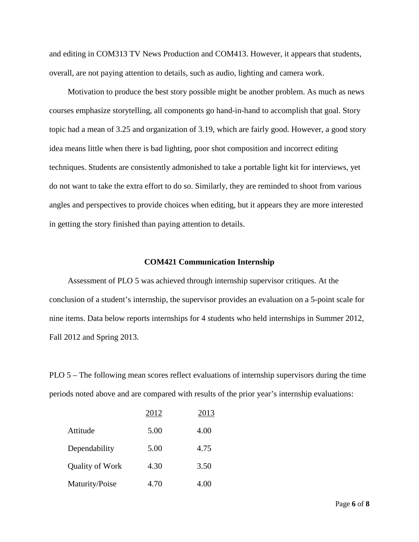and editing in COM313 TV News Production and COM413. However, it appears that students, overall, are not paying attention to details, such as audio, lighting and camera work.

Motivation to produce the best story possible might be another problem. As much as news courses emphasize storytelling, all components go hand-in-hand to accomplish that goal. Story topic had a mean of 3.25 and organization of 3.19, which are fairly good. However, a good story idea means little when there is bad lighting, poor shot composition and incorrect editing techniques. Students are consistently admonished to take a portable light kit for interviews, yet do not want to take the extra effort to do so. Similarly, they are reminded to shoot from various angles and perspectives to provide choices when editing, but it appears they are more interested in getting the story finished than paying attention to details.

### **COM421 Communication Internship**

Assessment of PLO 5 was achieved through internship supervisor critiques. At the conclusion of a student's internship, the supervisor provides an evaluation on a 5-point scale for nine items. Data below reports internships for 4 students who held internships in Summer 2012, Fall 2012 and Spring 2013.

PLO 5 – The following mean scores reflect evaluations of internship supervisors during the time periods noted above and are compared with results of the prior year's internship evaluations:

|                 | 2012 | 2013 |
|-----------------|------|------|
| Attitude        | 5.00 | 4.00 |
| Dependability   | 5.00 | 4.75 |
| Quality of Work | 4.30 | 3.50 |
| Maturity/Poise  | 4.70 | 4.00 |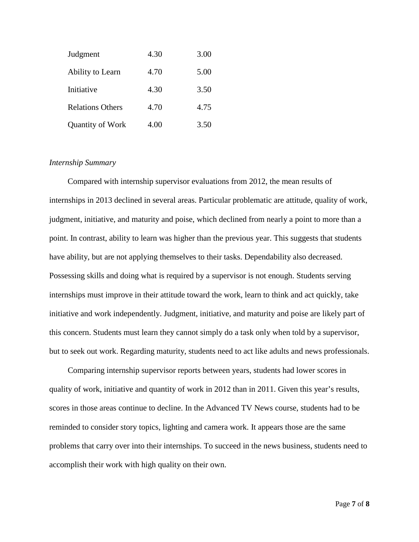| Judgment                | 4.30 | 3.00 |
|-------------------------|------|------|
| Ability to Learn        | 4.70 | 5.00 |
| Initiative              | 4.30 | 3.50 |
| <b>Relations Others</b> | 4.70 | 4.75 |
| Quantity of Work        | 4.00 | 3.50 |

## *Internship Summary*

Compared with internship supervisor evaluations from 2012, the mean results of internships in 2013 declined in several areas. Particular problematic are attitude, quality of work, judgment, initiative, and maturity and poise, which declined from nearly a point to more than a point. In contrast, ability to learn was higher than the previous year. This suggests that students have ability, but are not applying themselves to their tasks. Dependability also decreased. Possessing skills and doing what is required by a supervisor is not enough. Students serving internships must improve in their attitude toward the work, learn to think and act quickly, take initiative and work independently. Judgment, initiative, and maturity and poise are likely part of this concern. Students must learn they cannot simply do a task only when told by a supervisor, but to seek out work. Regarding maturity, students need to act like adults and news professionals.

Comparing internship supervisor reports between years, students had lower scores in quality of work, initiative and quantity of work in 2012 than in 2011. Given this year's results, scores in those areas continue to decline. In the Advanced TV News course, students had to be reminded to consider story topics, lighting and camera work. It appears those are the same problems that carry over into their internships. To succeed in the news business, students need to accomplish their work with high quality on their own.